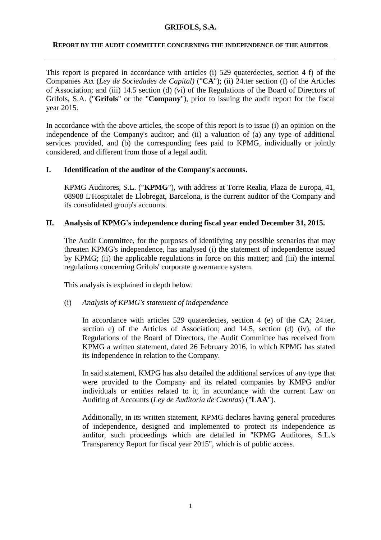## **GRIFOLS, S.A.**

### **REPORT BY THE AUDIT COMMITTEE CONCERNING THE INDEPENDENCE OF THE AUDITOR**

This report is prepared in accordance with articles (i) 529 quaterdecies, section 4 f) of the Companies Act (*Ley de Sociedades de Capital)* ("**CA**"); (ii) 24.ter section (f) of the Articles of Association; and (iii) 14.5 section (d) (vi) of the Regulations of the Board of Directors of Grifols, S.A. ("**Grifols**" or the "**Company**"), prior to issuing the audit report for the fiscal year 2015.

In accordance with the above articles, the scope of this report is to issue (i) an opinion on the independence of the Company's auditor; and (ii) a valuation of (a) any type of additional services provided, and (b) the corresponding fees paid to KPMG, individually or jointly considered, and different from those of a legal audit.

# **I. Identification of the auditor of the Company's accounts.**

KPMG Auditores, S.L. ("**KPMG**"), with address at Torre Realia, Plaza de Europa, 41, 08908 L'Hospitalet de Llobregat, Barcelona, is the current auditor of the Company and its consolidated group's accounts.

# **II. Analysis of KPMG's independence during fiscal year ended December 31, 2015.**

The Audit Committee, for the purposes of identifying any possible scenarios that may threaten KPMG's independence, has analysed (i) the statement of independence issued by KPMG; (ii) the applicable regulations in force on this matter; and (iii) the internal regulations concerning Grifols' corporate governance system.

This analysis is explained in depth below.

## (i) *Analysis of KPMG's statement of independence*

In accordance with articles 529 quaterdecies, section 4 (e) of the CA; 24.ter, section e) of the Articles of Association; and 14.5, section (d) (iv), of the Regulations of the Board of Directors, the Audit Committee has received from KPMG a written statement, dated 26 February 2016, in which KPMG has stated its independence in relation to the Company.

In said statement, KMPG has also detailed the additional services of any type that were provided to the Company and its related companies by KMPG and/or individuals or entities related to it, in accordance with the current Law on Auditing of Accounts (*Ley de Auditoría de Cuentas*) ("**LAA**").

Additionally, in its written statement, KPMG declares having general procedures of independence, designed and implemented to protect its independence as auditor, such proceedings which are detailed in "KPMG Auditores, S.L.'s Transparency Report for fiscal year 2015", which is of public access.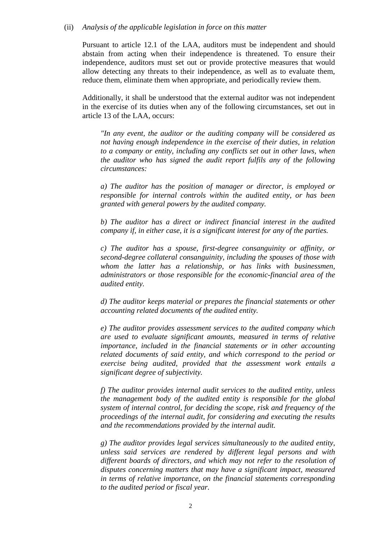#### (ii) *Analysis of the applicable legislation in force on this matter*

Pursuant to article 12.1 of the LAA, auditors must be independent and should abstain from acting when their independence is threatened. To ensure their independence, auditors must set out or provide protective measures that would allow detecting any threats to their independence, as well as to evaluate them, reduce them, eliminate them when appropriate, and periodically review them.

Additionally, it shall be understood that the external auditor was not independent in the exercise of its duties when any of the following circumstances, set out in article 13 of the LAA, occurs:

*"In any event, the auditor or the auditing company will be considered as not having enough independence in the exercise of their duties, in relation to a company or entity, including any conflicts set out in other laws, when the auditor who has signed the audit report fulfils any of the following circumstances:*

*a) The auditor has the position of manager or director, is employed or responsible for internal controls within the audited entity, or has been granted with general powers by the audited company.*

*b) The auditor has a direct or indirect financial interest in the audited company if, in either case, it is a significant interest for any of the parties.*

*c) The auditor has a spouse, first-degree consanguinity or affinity, or second-degree collateral consanguinity, including the spouses of those with whom the latter has a relationship, or has links with businessmen, administrators or those responsible for the economic-financial area of the audited entity.*

*d) The auditor keeps material or prepares the financial statements or other accounting related documents of the audited entity.*

*e) The auditor provides assessment services to the audited company which are used to evaluate significant amounts, measured in terms of relative importance, included in the financial statements or in other accounting related documents of said entity, and which correspond to the period or exercise being audited, provided that the assessment work entails a significant degree of subjectivity.*

*f) The auditor provides internal audit services to the audited entity, unless the management body of the audited entity is responsible for the global system of internal control, for deciding the scope, risk and frequency of the proceedings of the internal audit, for considering and executing the results and the recommendations provided by the internal audit.*

*g) The auditor provides legal services simultaneously to the audited entity, unless said services are rendered by different legal persons and with different boards of directors, and which may not refer to the resolution of disputes concerning matters that may have a significant impact, measured in terms of relative importance, on the financial statements corresponding to the audited period or fiscal year.*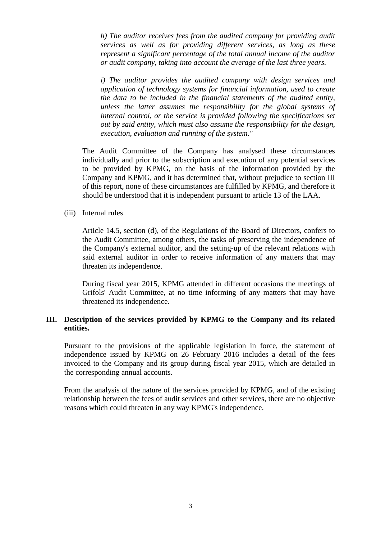*h) The auditor receives fees from the audited company for providing audit services as well as for providing different services, as long as these represent a significant percentage of the total annual income of the auditor or audit company, taking into account the average of the last three years.*

*i) The auditor provides the audited company with design services and application of technology systems for financial information, used to create the data to be included in the financial statements of the audited entity, unless the latter assumes the responsibility for the global systems of internal control, or the service is provided following the specifications set out by said entity, which must also assume the responsibility for the design, execution, evaluation and running of the system."*

The Audit Committee of the Company has analysed these circumstances individually and prior to the subscription and execution of any potential services to be provided by KPMG, on the basis of the information provided by the Company and KPMG, and it has determined that, without prejudice to section III of this report, none of these circumstances are fulfilled by KPMG, and therefore it should be understood that it is independent pursuant to article 13 of the LAA.

### (iii) Internal rules

Article 14.5, section (d), of the Regulations of the Board of Directors, confers to the Audit Committee, among others, the tasks of preserving the independence of the Company's external auditor, and the setting-up of the relevant relations with said external auditor in order to receive information of any matters that may threaten its independence.

During fiscal year 2015, KPMG attended in different occasions the meetings of Grifols' Audit Committee, at no time informing of any matters that may have threatened its independence.

# **III. Description of the services provided by KPMG to the Company and its related entities.**

Pursuant to the provisions of the applicable legislation in force, the statement of independence issued by KPMG on 26 February 2016 includes a detail of the fees invoiced to the Company and its group during fiscal year 2015, which are detailed in the corresponding annual accounts.

From the analysis of the nature of the services provided by KPMG, and of the existing relationship between the fees of audit services and other services, there are no objective reasons which could threaten in any way KPMG's independence.